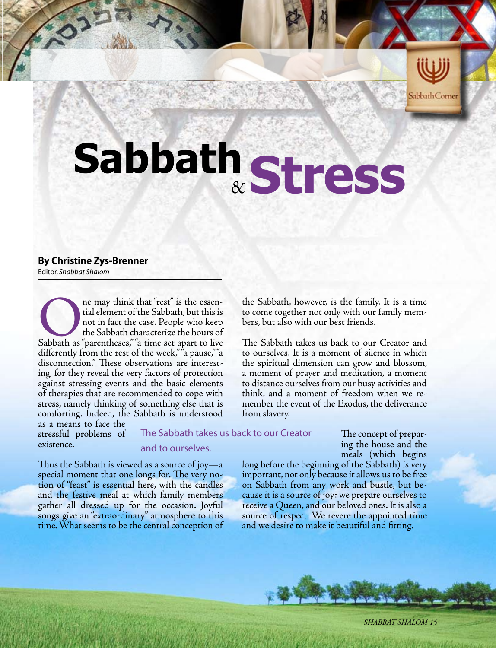

## & **Stress Sabbath**

## **By Christine Zys-Brenner**

Editor, *Shabbat Shalom*

The may think that "rest" is the essen-<br>tial element of the Sabbath, but this is<br>not in fact the case. People who keep<br>the Sabbath characterize the hours of<br>Sabbath as "parentheses," "a time set apart to live tial element of the Sabbath, but this is not in fact the case. People who keep the Sabbath characterize the hours of differently from the rest of the week,""a pause,""a disconnection." These observations are interesting, for they reveal the very factors of protection against stressing events and the basic elements of therapies that are recommended to cope with stress, namely thinking of something else that is comforting. Indeed, the Sabbath is understood as a means to face the

time. What seems to be the central conception of

stressful problems of existence.

The Sabbath takes us back to our Creator

from slavery.

## and to ourselves.

Thus the Sabbath is viewed as a source of joy—a special moment that one longs for. The very notion of "feast" is essential here, with the candles and the festive meal at which family members gather all dressed up for the occasion. Joyful songs give an "extraordinary" atmosphere to this

The concept of preparing the house and the meals (which begins

long before the beginning of the Sabbath) is very important, not only because it allows us to be free on Sabbath from any work and bustle, but because it is a source of joy: we prepare ourselves to receive a Queen, and our beloved ones. It is also a source of respect. We revere the appointed time and we desire to make it beautiful and fitting.

the Sabbath, however, is the family. It is a time to come together not only with our family mem-

The Sabbath takes us back to our Creator and to ourselves. It is a moment of silence in which the spiritual dimension can grow and blossom, a moment of prayer and meditation, a moment to distance ourselves from our busy activities and think, and a moment of freedom when we remember the event of the Exodus, the deliverance

bers, but also with our best friends.